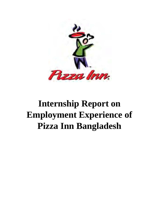

# **Internship Report on Employment Experience of Pizza Inn Bangladesh**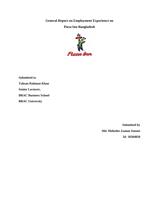**General Report on Employment Experience on** 

#### **Pizza Inn Bangladesh**



**Submitted to Tahsan Rahman Khan Senior Lecturer, BRAC Business School BRAC University**

> **Submitted by Md. Mehedee Zaman Sonnet Id- 10204050**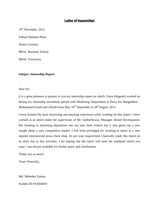## Letter of transmittal

19<sup>th</sup> December, 2015

Tahsan Rahman Khan

Senior Lecturer,

BRAC Business School

BRAC University

#### **Subject: Internship Report**

Dear Sir,

It is a great pleasure to present to you my internship report on which I have diligently worked on during my internship attachment period with Marketing Department at Pizza Inn Bangladesh – Mohammed Foods and Allieds from May  $10^{th}$  September to  $28^{th}$ August, 2015.

I have learned the most interesting and amazing experience while working for this report. I have worked as an intern under the supervision of Mr. SabbirNewaz, Manager, Brand Development. My learning in marketing department has not only been fruitful but it also given me a new insight about a very competitive market. I feel most privileged for working as intern in a very reputed international pizza chain shop. As per your requirement I basically made this report on ny daily day to day activities. I am hoping that the report will meet the standards which you want. I am always available for further query and clarification.

Thank you so much.

Yours Sincerely,

Md. Mehedee Zaman

Student ID #10204050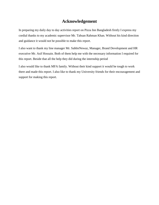## **Acknowledgement**

In preparing my daily day to day activities report on Pizza Inn Bangladesh firstly I express my cordial thanks to my academic supervisor Mr. Tahsan Rahman Khan. Without his kind direction and guidance it would not be possible to make this report.

I also want to thank my line manager Mr. SabbirNewaz, Manager, Brand Development and HR executive Mr. Asif Hossain. Both of them help me with the necessary information I required for this report. Beside that all the help they did during the internship period

I also would like to thank MFA family. Without their kind support it would be tough to work there and made this report. I also like to thank my University friends for their encouragement and support for making this report.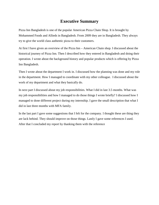# **Executive Summary**

Pizza Inn Bangladesh is one of the popular American Pizza Chain Shop. It is brought by Mohammed Foods and Allieds in Bangladesh. From 2009 they are in Bangladesh. They always try to give the world class authentic pizza to their customers.

At first I have given an overview of the Pizza Inn – American Chain shop. I discussed about the historical journey of Pizza Inn. Then I described how they entered in Bangladesh and doing their operation. I wrote about the background history and popular products which is offering by Pizza Inn Bangladesh.

Then I wrote about the department I work in. I discussed how the planning was done and my role in the department. How I managed to coordinate with my other colleague. I discussed about the work of my department and what they basically do.

In next part I discussed about my job responsibilities. What I did in last 3.5 months. What was my job responsibilities and how I managed to do those things I wrote briefly? I discussed how I managed to done different project during my internship. I gave the small description that what I did in last three months with MFA family.

In the last part I gave some suggestions that I felt for the company. I thought these are thing they are lack behind. They should improve on those things. Lastly I gave some references I used. After that I concluded my report by thanking them with the reference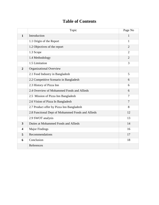# **Table of Contents**

|                         | Topic                                             | Page No        |
|-------------------------|---------------------------------------------------|----------------|
| $\mathbf{1}$            | Introduction                                      | $\mathbf{1}$   |
|                         | 1.1 Origin of the Report                          | $\mathbf{1}$   |
|                         | 1.2 Objectives of the report                      | $\overline{2}$ |
|                         | 1.3 Scope                                         | $\overline{2}$ |
|                         | 1.4 Methodology                                   | $\overline{2}$ |
|                         | 1.5 Limitation                                    | 3              |
| $\overline{2}$          | <b>Organizational Overview</b>                    |                |
|                         | 2.1 Food Industry in Bangladesh                   | 5              |
|                         | 2.2 Competitive Scenario in Bangladesh            | 6              |
|                         | 2.3 History of Pizza Inn                          | 6              |
|                         | 2.4 Overview of Mohammed Foods and Allieds        | 6              |
|                         | 2.5 Mission of Pizza Inn Bangladesh               | 7              |
|                         | 2.6 Vision of Pizza In Bangladesh                 | $\overline{7}$ |
|                         | 2.7 Product offer by Pizza Inn Bangladesh         | 8              |
|                         | 2.8 Functional Dept of Mohammed Foods and Allieds | 12             |
|                         | 2.9 SWOT analysis                                 | 13             |
| $\overline{3}$          | Duties at Mohammed Foods and Allieds              | 14             |
| $\overline{\mathbf{4}}$ | <b>Major Findings</b>                             | 16             |
| 5                       | Recommendations                                   | 17             |
| 6                       | Conclusion                                        | 18             |
|                         | References                                        |                |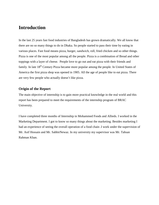# **Introduction**

In the last 25 years fast food industries of Bangladesh has grown dramatically. We all know that there are no so many things to do in Dhaka. So people started to pass their time by eating in various places. Fast food means pizza, burger, sandwich, roll, fried chicken and so other things. Pizza is one of the most popular among all the people. Pizza is a combination of Bread and other toppings with a layer of cheese. People love to go out and eat pizza with their friends and family. In late 18<sup>th</sup> Century Pizza became more popular among the people. In United States of America the first pizza shop was opened in 1905. All the age of people like to eat pizza. There are very few people who actually doesn't like pizza.

#### **Origin of the Report**

The main objective of internship is to gain more practical knowledge in the real world and this report has been prepared to meet the requirements of the internship program of BRAC University.

I have completed three months of Internship in Mohammed Foods and Allieds. I worked in the Marketing Department. I got to know so many things about the marketing. Besides marketing I had an experience of seeing the overall operation of a food chain .I work under the supervision of Mr. Asif Hossain and Mr. SabbirNewaz. In my university my supervisor was Mr. Tahsan Rahman Khan.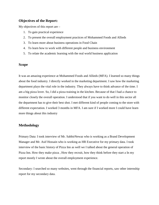#### **Objectives of the Report:**

My objectives of this report are –

- 1. To gain practical experience
- 2. To present the overall employment practices of Mohammed Foods and Allieds
- 3. To learn more about business operations in Food Chain
- 4. To learn how to work with different people and business environment
- 5. To relate the academic learning with the real world business application

#### **Scope**

It was an amazing experience at Mohammed Foods and Allieds (MFA). I learned so many things about the food industry. I directly worked in the marketing department. I saw how the marketing department plays the vital role in the industry. They always have to think advance of the time. I am a big pizza lover. So, I did a pizza training in the kitchen. Because of that I had a chance to monitor closely the overall operation. I understood that if you want to do well in this sector all the department has to give their best shot. I met different kind of people coming to the store with different expectation. I worked 3 months in MFA. I am sure if I worked more I could have learn more things about this industry

#### **Methodology**

Primary Data: I took interview of Mr. SabbirNewaz who is working as a Brand Development Manager and Mr. Asif Hossain who is working as HR Executive for my primary data. I took interview of the basic history of Pizza Inn as well we I talked about the general operation of Pizza Inn. How they make pizza , How they recruit, how they think before they start a In my report mostly I wrote about the overall employment experience.

Secondary: I searched so many websites, went through the financial reports, saw other internship report for my secondary data.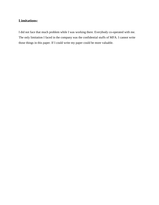## **Limitations:**

I did not face that much problem while I was working there. Everybody co-operated with me. The only limitation I faced in the company was the confidential stuffs of MFA. I cannot write those things in this paper. If I could write my paper could be more valuable.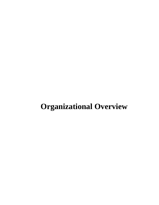# **Organizational Overview**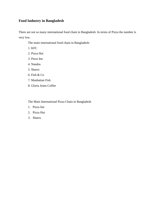## **Food Industry in Bangladesh**

There are not so many international food chain in Bangladesh. In terms of Pizza the number is very low.

The main international food chain in Bangladesh:

1. KFC

- 2. Pizza Hut
- 3. Pizza Inn
- 4. Nandos
- 5. Sbarro
- 6. Fish & Co
- 7. Manhattan Fish
- 8. Gloria Jeans Coffee

The Main International Pizza Chain in Bangladesh

- 1. Pizza Inn
- 2. Pizza Hut
- 3. Sbarro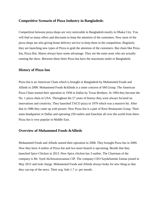#### **Competitive Scenario of Pizza Industry in Bangladesh:**

Competition between pizza shops are very noticeable in Bangladesh mostly in Dhaka City. You will find so many offers and discounts to keep the attention of the customers. Now most of the pizza shops are also giving home delivery service to keep them in the competition. Regularly they are launching new types of Pizza to grab the attention of the customers. But chain like Pizza Inn, Pizza Hut, Sbarro always have some advantage. They are the main seats who are actually running the show. Between these three Pizza hut have the maximum outlet in Bangladesh.

#### **History of Pizza Inn**

Pizza Inn is an American Chain which is brought in Bangladesh by Mohammed Foods and Allieds in 2009. Mohammed Foods &Allieds is a sister concern of SM Group. The American Pizza Chain started their operation in 1958 in Dallas by Texas Brothers. In 1994 they become the No. 1 pizza chain in USA. Throughout the 57 years of history they were always focused on innovations and creativity. They launched TACO pizza in 1979 which was a massive hit. After that in 1986 they came up with pizzert. Now Pizza Inn is a part of Rave Restaurant Group. Their main headquarter in Dallas and operating 250 outlets and franchise all over the world from there. Pizza Inn is very popular in Middle East.

#### **Overview of Mohammed Foods &Allieds**

Mohammed Foods and Allieds started their operation in 2008. They brought Pizza Inn in 2009. Now they have 4 outlets of Pizza Inn and two more branch is upcoming. Beside that they launched Spice Chicken in 2013. Now Spice chicken has 3 outlets. The Chairman of the company is Mr. Syed AkAnwaruzzaman CIP. The company CEO SaydaSaeeda Zaman joined in May 2015 and took charge. Mohammed Foods and Allieds always looks for new thing so that they can top of the news. Their avg. Sale 1.7 cr. per month.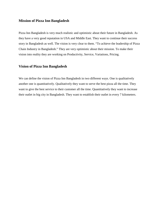#### **Mission of Pizza Inn Bangladesh**

Pizza Inn Bangladesh is very much realistic and optimistic about their future in Bangladesh. As they have a very good reputation in USA and Middle East. They want to continue their success story in Bangladesh as well. The vision is very clear to them. "To achieve the leadership of Pizza Chain Industry in Bangladesh." They are very optimistic about their mission. To make their vision into reality they are working on Productivity, Service, Variations, Pricing.

#### **Vision of Pizza Inn Bangladesh**

We can define the vision of Pizza Inn Bangladesh in two different ways. One is qualitatively another one is quantitatively. Qualitatively they want to serve the best pizza all the time. They want to give the best service to their customer all the time. Quantitatively they want to increase their outlet in big city in Bangladesh. They want to establish their outlet in every 7 kilometers.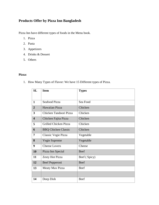# **Products Offer by Pizza Inn Bangladesh**

Pizza Inn have different types of foods in the Menu book.

- 1. Pizza
- 2. Pasta
- 3. Appetizers
- 4. Drinks & Dessert
- 5. Others

#### **Pizza:**

1. How Many Types of Flavor: We have 15 Different types of Pizza.

| SL                      | <b>Item</b>                | <b>Types</b> |  |  |
|-------------------------|----------------------------|--------------|--|--|
|                         |                            |              |  |  |
| $\mathbf{1}$            | <b>Seafood Pizza</b>       | Sea Food     |  |  |
| $\overline{2}$          | Hawaiian Pizza             | Chicken      |  |  |
| 3                       | Chicken Tandoori Pizza     | Chicken      |  |  |
| $\overline{\mathbf{4}}$ | Chicken Fajita Pizza       | Chicken      |  |  |
| 5                       | Grilled Chicken Pizza      | Chicken      |  |  |
| 6                       | <b>BBQ Chicken Classic</b> | Chicken      |  |  |
| 7                       | Classic Vegie Pizza        | Vegetable    |  |  |
| 8                       | Vegie Supreme              | Vegetable    |  |  |
| 9                       | <b>Cheese Lovers</b>       | Cheese       |  |  |
| <b>10</b>               | Pizza Inn Special          | Beef         |  |  |
| 11                      | Zesty Hot Pizza            | Beef (Spicy) |  |  |
| 12                      | Beef Pepperoni             | <b>Beef</b>  |  |  |
| 13                      | Meaty Max Pizza            | Beef         |  |  |
|                         |                            |              |  |  |
| 14                      | Deep Dish                  | Beef         |  |  |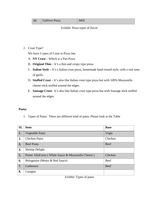| 15 |  | <b>Gulliver Pizza</b> | <b>MIX</b> |
|----|--|-----------------------|------------|
|----|--|-----------------------|------------|

#### Exhibit: Pizza types of flavor

2. Crust Type?

We have 5 types of Crust in Pizza Inn.

- A. **NY Crust** Which is a Pan Pizza
- B. **Original Thin** It's a thin and crispy type pizza
- C. **Italian Style** It's a Italian crust pizza, homemade hand tossed style, with a real taste of garlic.
- D. **Stuffed Crust** It's also like Italian crust type pizza but with 100% Mozzarella cheese stick stuffed around the edges.
- E. **Sausage Crust** It's also like Italian crust type pizza but with Sausage stick stuffed around the edges.

#### **Pasta:**

1. Types of Pasta: There are different kind of pasta. Please look at the Table

| <b>SL</b> | <b>Item</b>                                       | <b>Base</b> |
|-----------|---------------------------------------------------|-------------|
| 1.        | Vegetable Pasta                                   | Vegie       |
| 2.        | <b>Chicken Pasta</b>                              | Chicken     |
| 3.        | <b>Beef Pasta</b>                                 | <b>Beef</b> |
| 4.        | Shrimp Delight                                    |             |
| 5.        | Penne AllaForno (White Sauce & Mozzarella Cheese) | Chicken     |
| 6.        | Bolognaise (Meaty & Red Sauce)                    | Beef        |
| 7.        | Carbonara                                         | <b>Beef</b> |
| 8.        | Lasagna                                           |             |

Exhibit: Types of pasta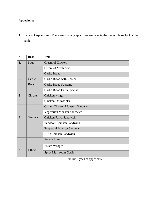## **Appetizers:**

1. Types of Appetizers: There are so many appetizers we have in the menu. Please look at the Table

| <b>SL</b>      | <b>Base</b>   | <b>Item</b>                             |
|----------------|---------------|-----------------------------------------|
| 1.             | Soup          | <b>Cream of Chicken</b>                 |
|                |               | <b>Cream of Mushroom</b>                |
|                |               | <b>Garlic Bread</b>                     |
| $\overline{2}$ | Garlic        | Garlic Bread with Cheese                |
|                | <b>Bread</b>  | <b>Garlic Bread Supreme</b>             |
|                |               | Garlic Bread Extra Special              |
| 3              | Chicken       | Chicken wings                           |
|                |               | <b>Chicken Drumsticks</b>               |
|                |               | <b>Grilled Chicken Monster Sandwich</b> |
|                |               | Vegetarian Monster Sandwich             |
| 4.             | Sandwich      | Chicken Fajita Sandwich                 |
|                |               | Tandoori Chicken Sandwich               |
|                |               | Pepperoni Monster Sandwich              |
|                |               | <b>BBQ Chicken Sandwich</b>             |
|                |               | <b>French Fries</b>                     |
|                |               | Potato Wedges                           |
| 5.             | <b>Others</b> | Spicy Mushroom Garlic                   |

Exhibit: Types of appetizers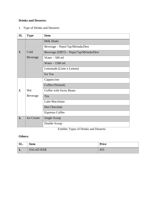### **Drinks and Desserts:**

1. Type of Drinks and Desserts:

| SL | <b>Type</b> | <b>Item</b>                             |
|----|-------------|-----------------------------------------|
|    |             | <b>Milk Shake</b>                       |
|    |             | Beverage - Pepsi/7up/Mirinda/Dew        |
| 1. | Cold        | Beverage (DIET) – Pepsi/7up/Mirinda/Dew |
|    | Beverage    | Water $-500$ ml                         |
|    |             | Water $-1500$ ml                        |
|    |             | Lemonade (Lime n Lemon)                 |
|    |             | Ice Tea                                 |
|    |             | Cappuccino                              |
|    |             | Coffee (Normal)                         |
| 2. | Hot         | <b>Coffee with Swiss Beans</b>          |
|    | Beverage    | Tea                                     |
|    |             | Latte Macchiato                         |
|    |             | <b>Hot Chocolate</b>                    |
|    |             | <b>Espresso Coffee</b>                  |
| 3. | Ice Cream   | Single Scoop                            |
|    |             | Double Scoop                            |

Exhibit: Types of Drinks and Desserts

#### **Others:**

| SL.  | <b>Item</b>      | <b>Price</b> |
|------|------------------|--------------|
| - 1. | <b>SALAD BAR</b> | 45.          |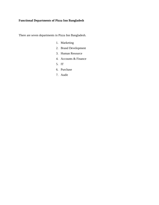## **Functional Departments of Pizza Inn Bangladesh**

There are seven departments in Pizza Inn Bangladesh.

- 1. Marketing
- 2. Brand Development
- 3. Human Resource
- 4. Accounts & Finance
- 5. IT
- 6. Purchase
- 7. Audit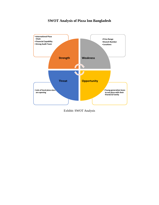# **SWOT Analysis of Pizza Inn Bangladesh**



Exhibit: SWOT Analysis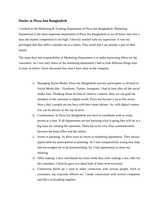#### **Duties at Pizza Inn Bangladesh**

I worked in the Marketing & Training Department of Pizza Inn Bangladesh. Marketing Department is the most important department of Pizza Inn Bangladesh as we all know that now a days the market competition is too high. I directly worked with my supervisor. It was my privileged that they didn't consider me as a intern. They acted that I am already a part of their family.

The main duty and responsibility of Marketing Department is to make interesting offers for the customers. As I was only intern of the marketing department I had to look different things time to time. In below I have discussed that what I have done in the company.

- a. Managing Social Media: Pizza Inn Bangladesh actively participates in all kind of Social Media like – Facebook, Twitter, Instagram. I had to look after all the social media sites. Thinking about all kind of creative contents. How we can grab the attention of the customer in digital world. Pizza Inn focuses a lot in this sector. Now a day's people are too busy with their smart phones. So, with digital content you can be always on the top of news.
- b. Coordination: In Pizza Inn Bangladesh you have to coordinate with so many person at a time. If all departments are not knowing what is going they will be in a big mass for running the operation. There has to be very clear communication between the head office and the outlets.
- c. Assist in planning: As there were no intern in marketing department. They always appreciated my participation in planning. As I was comparatively young they help and encouraged me to do brainstorming. So, I had opportunity to share my thinking.
- d. Offer making: I also contributed my brain while they were making a new offer for the customers. I directly gave two ideas both of them were executed.
- e. Connection Build up: I used to make connection with various people. Such as customers, top corporate officers etc. I made connections with several companies and did a co-branding together.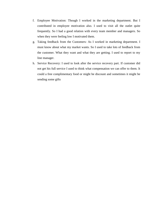- f. Employee Motivation: Though I worked in the marketing department. But I contributed in employee motivation also. I used to visit all the outlet quite frequently. So I had a good relation with every team member and managers. So when they were feeling low I motivated them.
- g. Taking feedback from the Customers: As I worked in marketing department. I must know about what my market wants. So I used to take lots of feedback from the customer. What they want and what they are getting. I used to report to my line manager.
- h. Service Recovery: I used to look after the service recovery part. If customer did not get his full service I used to think what compensation we can offer to them. It could a free complimentary food or might be discount and sometimes it might be sending some gifts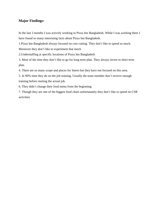#### **Major Findings:**

In the last 3 months I was actively working in Pizza Inn Bangladesh. While I was working there I have found so many interesting facts about Pizza Inn Bangladesh.

1.Pizza Inn Bangladesh always focused on cost cutting. They don't like to spend so much.

Moreover they don't like to experiment that much

2.Understaffing at specific locations of Pizza Inn Bangladesh

3. Most of the time they don't like to go for long term plan. They always invest in short term plan.

4. There are so many scope and places for Intern but they have not focused on this area.

5. In 90% time they do on the job training. Usually the team member don't receive enough training before starting the actual job.

6. They didn't change their food menu from the beginning.

7. Though they are one of the biggest food chain unfortunately they don't like to spend on CSR activities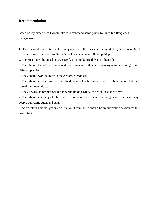#### **Recommendations**

Based on my experience I would like to recommend some points to Pizza Inn Bangladesh management:

1. There should more intern in the company. I was the only intern in marketing department. So, I had to take so many pressure. Sometimes I was unable to follow up things.

2. Their team member needs more specify training before they start their job

3. Their hierarchy not much informed. It is tough when there are so many opinion coming from different position.

4. They should work more with the customer feedback.

5. They should more customize their food menu. They haven't customized their menu tilled they started their operations.

6. They always do promotions but they should do CSR activities at least once a year.

7. They should regularly add the new food to the menu. If there is nothing new in the menu why people will come again and again.

8. As an intern I did not get any orientation. I think there should be an orientation session for the new intern.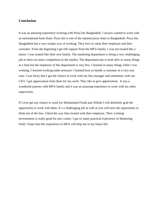#### **Conclusion**

It was an amazing experience working with Pizza Inn Bangladesh. I always wanted to work with an international food chain. Pizza Inn is one of the reputed pizza chain in Bangladesh. Pizza Inn Bangladesh has a very unique way of working. They love to value their employee and their customer. From the beginning I get full support from the MFA family. I was not treated like a intern. I was treated like their own family. The marketing department is doing a very challenging job as there are more competition in the market. The department has to look after so many things at a time but the employee of this department is very few. I learned so many things while I was working. I learned working under pressure. I learned how to handle a customer in a very rare case. I was lucky that I got the chance to work with my line manager and sometimes with our CEO. I got appreciation from them for my work. They like to give appreciation. It was a wonderful journey with MFA family and it was an amazing experience to work with my other supervisors.

If I ever get any chance to work for Mohammed Foods and Allieds I will definitely grab the opportunity to work with them. It's a challenging job as well as you will have the opportunity to think out of the box. I liked the way they treated with their employee. Their working environment is really good for new comer. I got so many practical experience in Marketing Field. I hope that this experience in MFA will help me in my future life.